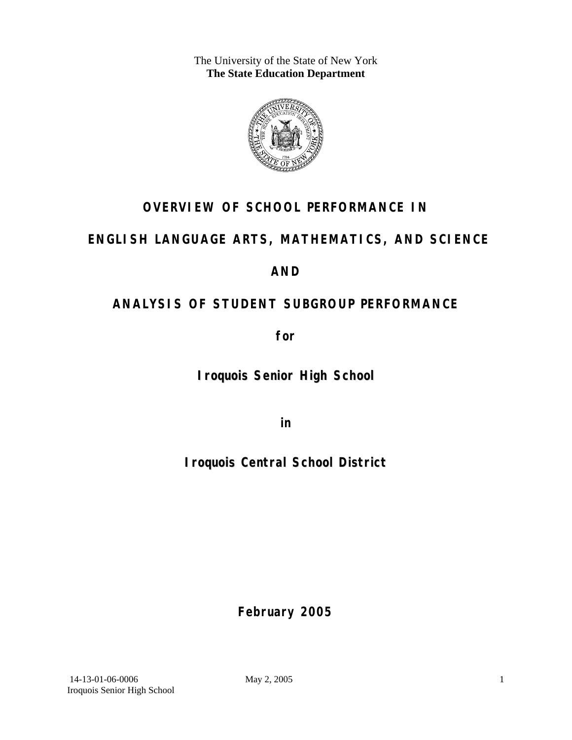The University of the State of New York **The State Education Department** 



# **OVERVIEW OF SCHOOL PERFORMANCE IN**

## **ENGLISH LANGUAGE ARTS, MATHEMATICS, AND SCIENCE**

## **AND**

# **ANALYSIS OF STUDENT SUBGROUP PERFORMANCE**

**for** 

**Iroquois Senior High School**

**in** 

**Iroquois Central School District**

**February 2005**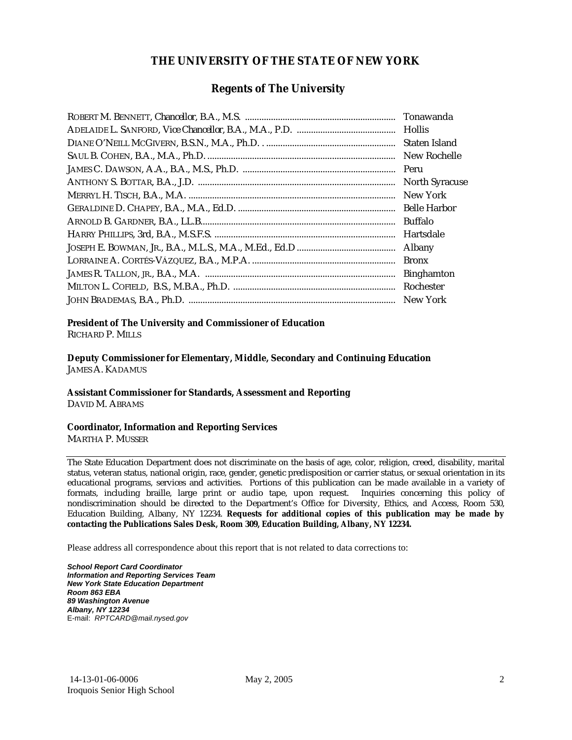### **THE UNIVERSITY OF THE STATE OF NEW YORK**

### **Regents of The University**

| Tonawanda             |
|-----------------------|
|                       |
| Staten Island         |
| New Rochelle          |
| Peru                  |
| <b>North Syracuse</b> |
| New York              |
| <b>Belle Harbor</b>   |
| <b>Buffalo</b>        |
| Hartsdale             |
| Albany                |
| <b>Bronx</b>          |
| <b>Binghamton</b>     |
| Rochester             |
| New York              |

### **President of The University and Commissioner of Education**

RICHARD P. MILLS

**Deputy Commissioner for Elementary, Middle, Secondary and Continuing Education**  JAMES A. KADAMUS

#### **Assistant Commissioner for Standards, Assessment and Reporting**  DAVID M. ABRAMS

#### **Coordinator, Information and Reporting Services**  MARTHA P. MUSSER

The State Education Department does not discriminate on the basis of age, color, religion, creed, disability, marital status, veteran status, national origin, race, gender, genetic predisposition or carrier status, or sexual orientation in its educational programs, services and activities. Portions of this publication can be made available in a variety of formats, including braille, large print or audio tape, upon request. Inquiries concerning this policy of nondiscrimination should be directed to the Department's Office for Diversity, Ethics, and Access, Room 530, Education Building, Albany, NY 12234. **Requests for additional copies of this publication may be made by contacting the Publications Sales Desk, Room 309, Education Building, Albany, NY 12234.** 

Please address all correspondence about this report that is not related to data corrections to:

*School Report Card Coordinator Information and Reporting Services Team New York State Education Department Room 863 EBA 89 Washington Avenue Albany, NY 12234*  E-mail: *RPTCARD@mail.nysed.gov*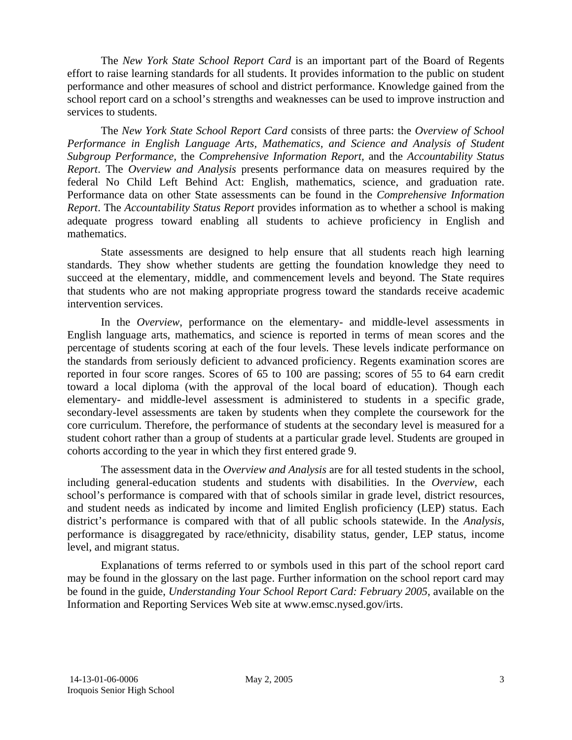The *New York State School Report Card* is an important part of the Board of Regents effort to raise learning standards for all students. It provides information to the public on student performance and other measures of school and district performance. Knowledge gained from the school report card on a school's strengths and weaknesses can be used to improve instruction and services to students.

The *New York State School Report Card* consists of three parts: the *Overview of School Performance in English Language Arts, Mathematics, and Science and Analysis of Student Subgroup Performance,* the *Comprehensive Information Report,* and the *Accountability Status Report*. The *Overview and Analysis* presents performance data on measures required by the federal No Child Left Behind Act: English, mathematics, science, and graduation rate. Performance data on other State assessments can be found in the *Comprehensive Information Report*. The *Accountability Status Report* provides information as to whether a school is making adequate progress toward enabling all students to achieve proficiency in English and mathematics.

State assessments are designed to help ensure that all students reach high learning standards. They show whether students are getting the foundation knowledge they need to succeed at the elementary, middle, and commencement levels and beyond. The State requires that students who are not making appropriate progress toward the standards receive academic intervention services.

In the *Overview*, performance on the elementary- and middle-level assessments in English language arts, mathematics, and science is reported in terms of mean scores and the percentage of students scoring at each of the four levels. These levels indicate performance on the standards from seriously deficient to advanced proficiency. Regents examination scores are reported in four score ranges. Scores of 65 to 100 are passing; scores of 55 to 64 earn credit toward a local diploma (with the approval of the local board of education). Though each elementary- and middle-level assessment is administered to students in a specific grade, secondary-level assessments are taken by students when they complete the coursework for the core curriculum. Therefore, the performance of students at the secondary level is measured for a student cohort rather than a group of students at a particular grade level. Students are grouped in cohorts according to the year in which they first entered grade 9.

The assessment data in the *Overview and Analysis* are for all tested students in the school, including general-education students and students with disabilities. In the *Overview*, each school's performance is compared with that of schools similar in grade level, district resources, and student needs as indicated by income and limited English proficiency (LEP) status. Each district's performance is compared with that of all public schools statewide. In the *Analysis*, performance is disaggregated by race/ethnicity, disability status, gender, LEP status, income level, and migrant status.

Explanations of terms referred to or symbols used in this part of the school report card may be found in the glossary on the last page. Further information on the school report card may be found in the guide, *Understanding Your School Report Card: February 2005*, available on the Information and Reporting Services Web site at www.emsc.nysed.gov/irts.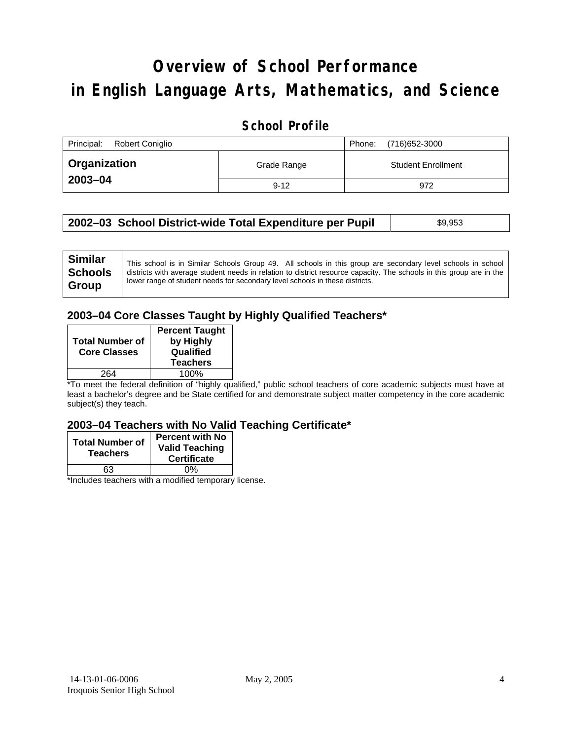# **Overview of School Performance in English Language Arts, Mathematics, and Science**

### **School Profile**

| Principal:<br><b>Robert Coniglio</b> |             | (716) 652-3000<br>Phone:  |
|--------------------------------------|-------------|---------------------------|
| <b>Organization</b>                  | Grade Range | <b>Student Enrollment</b> |
| 2003-04                              | $9 - 12$    | 972                       |

| 2002–03 School District-wide Total Expenditure per Pupil | \$9,953 |
|----------------------------------------------------------|---------|
|----------------------------------------------------------|---------|

### **2003–04 Core Classes Taught by Highly Qualified Teachers\***

| <b>Total Number of</b><br><b>Core Classes</b> | <b>Percent Taught</b><br>by Highly<br>Qualified<br><b>Teachers</b> |
|-----------------------------------------------|--------------------------------------------------------------------|
| 264                                           | 100%                                                               |

\*To meet the federal definition of "highly qualified," public school teachers of core academic subjects must have at least a bachelor's degree and be State certified for and demonstrate subject matter competency in the core academic subject(s) they teach.

#### **2003–04 Teachers with No Valid Teaching Certificate\***

| <b>Total Number of</b><br><b>Teachers</b> | <b>Percent with No</b><br><b>Valid Teaching</b><br><b>Certificate</b> |
|-------------------------------------------|-----------------------------------------------------------------------|
| 63                                        | 0%                                                                    |
| $\mathbf{A}$<br>$\cdots$                  |                                                                       |

\*Includes teachers with a modified temporary license.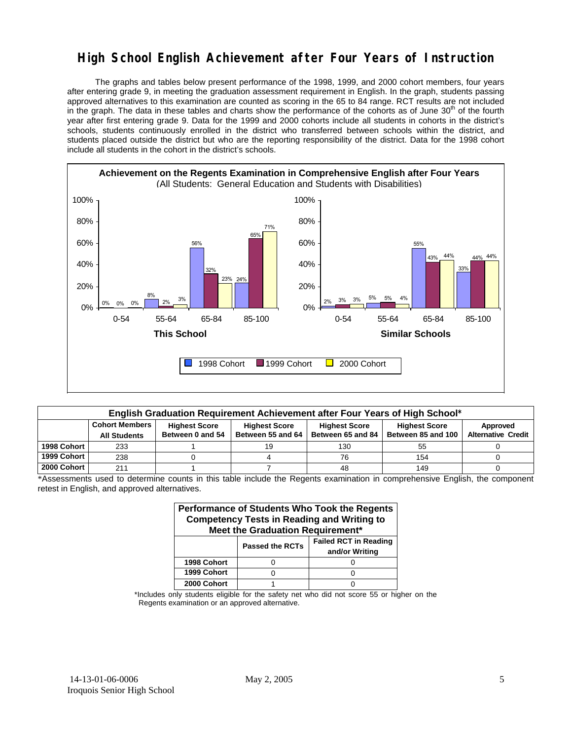### **High School English Achievement after Four Years of Instruction**

 The graphs and tables below present performance of the 1998, 1999, and 2000 cohort members, four years after entering grade 9, in meeting the graduation assessment requirement in English. In the graph, students passing approved alternatives to this examination are counted as scoring in the 65 to 84 range. RCT results are not included in the graph. The data in these tables and charts show the performance of the cohorts as of June  $30<sup>th</sup>$  of the fourth year after first entering grade 9. Data for the 1999 and 2000 cohorts include all students in cohorts in the district's schools, students continuously enrolled in the district who transferred between schools within the district, and students placed outside the district but who are the reporting responsibility of the district. Data for the 1998 cohort include all students in the cohort in the district's schools.



| English Graduation Requirement Achievement after Four Years of High School* |                                                                                                                                   |                  |                   |                   |                    |                           |  |  |  |
|-----------------------------------------------------------------------------|-----------------------------------------------------------------------------------------------------------------------------------|------------------|-------------------|-------------------|--------------------|---------------------------|--|--|--|
|                                                                             | <b>Cohort Members</b><br><b>Highest Score</b><br><b>Highest Score</b><br><b>Highest Score</b><br><b>Highest Score</b><br>Approved |                  |                   |                   |                    |                           |  |  |  |
|                                                                             | <b>All Students</b>                                                                                                               | Between 0 and 54 | Between 55 and 64 | Between 65 and 84 | Between 85 and 100 | <b>Alternative Credit</b> |  |  |  |
| 1998 Cohort                                                                 | 233                                                                                                                               |                  |                   | 130               | 55                 |                           |  |  |  |
| 1999 Cohort                                                                 | 238                                                                                                                               |                  |                   | 76                | 154                |                           |  |  |  |
| 2000 Cohort                                                                 | 211                                                                                                                               |                  |                   | 48                | 149                |                           |  |  |  |

\*Assessments used to determine counts in this table include the Regents examination in comprehensive English, the component retest in English, and approved alternatives.

| Performance of Students Who Took the Regents<br><b>Competency Tests in Reading and Writing to</b><br>Meet the Graduation Requirement* |  |  |  |  |  |  |  |
|---------------------------------------------------------------------------------------------------------------------------------------|--|--|--|--|--|--|--|
| <b>Failed RCT in Reading</b><br><b>Passed the RCTs</b><br>and/or Writing                                                              |  |  |  |  |  |  |  |
| 1998 Cohort                                                                                                                           |  |  |  |  |  |  |  |
| 1999 Cohort                                                                                                                           |  |  |  |  |  |  |  |
| 2000 Cohort                                                                                                                           |  |  |  |  |  |  |  |

\*Includes only students eligible for the safety net who did not score 55 or higher on the Regents examination or an approved alternative.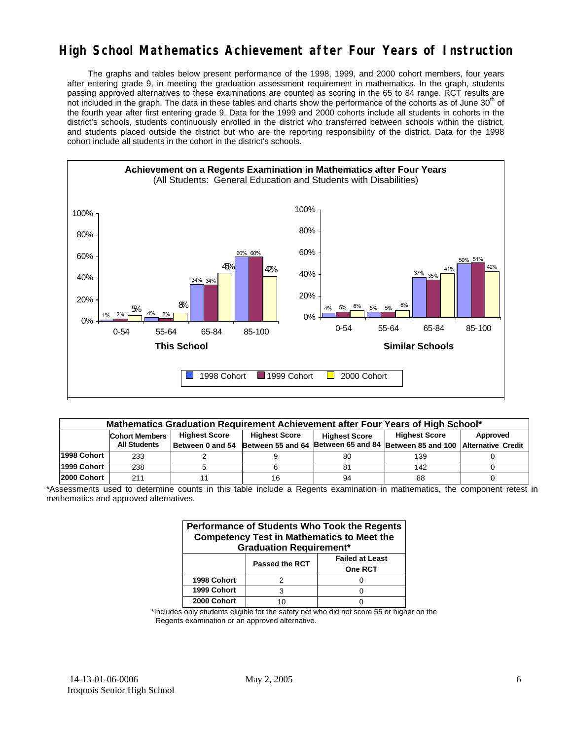### **High School Mathematics Achievement after Four Years of Instruction**

 The graphs and tables below present performance of the 1998, 1999, and 2000 cohort members, four years after entering grade 9, in meeting the graduation assessment requirement in mathematics. In the graph, students passing approved alternatives to these examinations are counted as scoring in the 65 to 84 range. RCT results are not included in the graph. The data in these tables and charts show the performance of the cohorts as of June 30<sup>th</sup> of the fourth year after first entering grade 9. Data for the 1999 and 2000 cohorts include all students in cohorts in the district's schools, students continuously enrolled in the district who transferred between schools within the district, and students placed outside the district but who are the reporting responsibility of the district. Data for the 1998 cohort include all students in the cohort in the district's schools.



| Mathematics Graduation Requirement Achievement after Four Years of High School* |                                                                                                                                   |                  |    |    |                                                                           |  |  |  |  |
|---------------------------------------------------------------------------------|-----------------------------------------------------------------------------------------------------------------------------------|------------------|----|----|---------------------------------------------------------------------------|--|--|--|--|
|                                                                                 | <b>Highest Score</b><br><b>Highest Score</b><br><b>Highest Score</b><br>Approved<br><b>Cohort Members</b><br><b>Highest Score</b> |                  |    |    |                                                                           |  |  |  |  |
|                                                                                 | <b>All Students</b>                                                                                                               | Between 0 and 54 |    |    | Between 55 and 64 Between 65 and 84 Between 85 and 100 Alternative Credit |  |  |  |  |
| 1998 Cohort                                                                     | 233                                                                                                                               |                  |    | 80 | 139                                                                       |  |  |  |  |
| 1999 Cohort                                                                     | 238                                                                                                                               |                  |    | 81 | 142                                                                       |  |  |  |  |
| l2000 Cohort                                                                    | 211                                                                                                                               |                  | 16 | 94 | 88                                                                        |  |  |  |  |

\*Assessments used to determine counts in this table include a Regents examination in mathematics, the component retest in mathematics and approved alternatives.

| Performance of Students Who Took the Regents<br><b>Competency Test in Mathematics to Meet the</b><br><b>Graduation Requirement*</b> |                                                                   |  |  |  |  |  |  |
|-------------------------------------------------------------------------------------------------------------------------------------|-------------------------------------------------------------------|--|--|--|--|--|--|
|                                                                                                                                     | <b>Failed at Least</b><br><b>Passed the RCT</b><br><b>One RCT</b> |  |  |  |  |  |  |
| 1998 Cohort                                                                                                                         | 2                                                                 |  |  |  |  |  |  |
| 1999 Cohort                                                                                                                         | з                                                                 |  |  |  |  |  |  |
| 2000 Cohort                                                                                                                         |                                                                   |  |  |  |  |  |  |

\*Includes only students eligible for the safety net who did not score 55 or higher on the Regents examination or an approved alternative.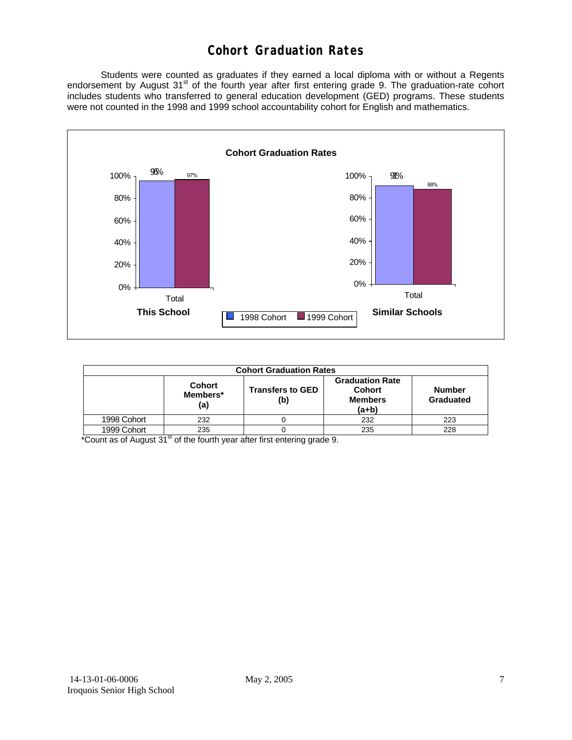### **Cohort Graduation Rates**

 Students were counted as graduates if they earned a local diploma with or without a Regents endorsement by August 31<sup>st</sup> of the fourth year after first entering grade 9. The graduation-rate cohort includes students who transferred to general education development (GED) programs. These students were not counted in the 1998 and 1999 school accountability cohort for English and mathematics.



| <b>Cohort Graduation Rates</b> |                                  |                                                                      |                            |     |  |  |
|--------------------------------|----------------------------------|----------------------------------------------------------------------|----------------------------|-----|--|--|
|                                | <b>Cohort</b><br>Members*<br>(a) | <b>Graduation Rate</b><br><b>Cohort</b><br><b>Members</b><br>$(a+b)$ | <b>Number</b><br>Graduated |     |  |  |
| 1998 Cohort                    | 232                              |                                                                      | 232                        | 223 |  |  |
| 1999 Cohort                    | 235                              |                                                                      | 235                        | 228 |  |  |

 $*$ Count as of August  $31<sup>st</sup>$  of the fourth year after first entering grade 9.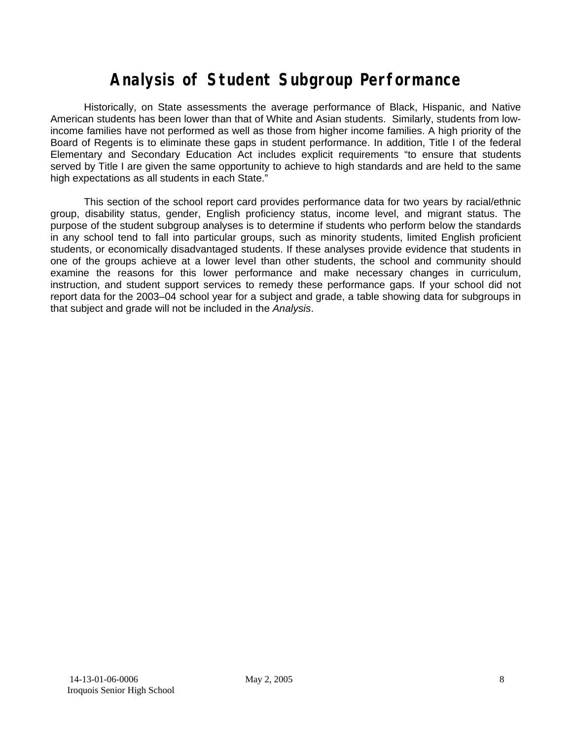# **Analysis of Student Subgroup Performance**

Historically, on State assessments the average performance of Black, Hispanic, and Native American students has been lower than that of White and Asian students. Similarly, students from lowincome families have not performed as well as those from higher income families. A high priority of the Board of Regents is to eliminate these gaps in student performance. In addition, Title I of the federal Elementary and Secondary Education Act includes explicit requirements "to ensure that students served by Title I are given the same opportunity to achieve to high standards and are held to the same high expectations as all students in each State."

This section of the school report card provides performance data for two years by racial/ethnic group, disability status, gender, English proficiency status, income level, and migrant status. The purpose of the student subgroup analyses is to determine if students who perform below the standards in any school tend to fall into particular groups, such as minority students, limited English proficient students, or economically disadvantaged students. If these analyses provide evidence that students in one of the groups achieve at a lower level than other students, the school and community should examine the reasons for this lower performance and make necessary changes in curriculum, instruction, and student support services to remedy these performance gaps. If your school did not report data for the 2003–04 school year for a subject and grade, a table showing data for subgroups in that subject and grade will not be included in the *Analysis*.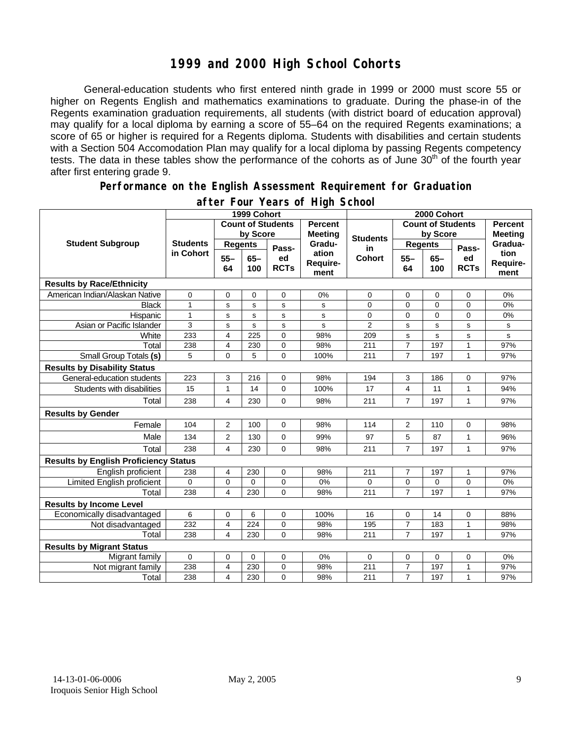### **1999 and 2000 High School Cohorts**

General-education students who first entered ninth grade in 1999 or 2000 must score 55 or higher on Regents English and mathematics examinations to graduate. During the phase-in of the Regents examination graduation requirements, all students (with district board of education approval) may qualify for a local diploma by earning a score of 55–64 on the required Regents examinations; a score of 65 or higher is required for a Regents diploma. Students with disabilities and certain students with a Section 504 Accomodation Plan may qualify for a local diploma by passing Regents competency tests. The data in these tables show the performance of the cohorts as of June 30<sup>th</sup> of the fourth year after first entering grade 9.

#### **Performance on the English Assessment Requirement for Graduation**

|                                              | 1999 Cohort     |                                                        |               |                   | 2000 Cohort               |                          |                |                |                   |                          |
|----------------------------------------------|-----------------|--------------------------------------------------------|---------------|-------------------|---------------------------|--------------------------|----------------|----------------|-------------------|--------------------------|
|                                              |                 | <b>Count of Students</b><br>by Score<br><b>Meeting</b> |               | <b>Percent</b>    |                           | <b>Count of Students</b> |                | <b>Percent</b> |                   |                          |
| <b>Student Subgroup</b>                      |                 |                                                        |               | <b>Students</b>   | by Score                  |                          | <b>Meeting</b> |                |                   |                          |
|                                              | <b>Students</b> | <b>Regents</b>                                         |               | Pass-             | Gradu-                    | in<br><b>Cohort</b>      | <b>Regents</b> |                | Pass-             | Gradua-                  |
|                                              | in Cohort       | $55 -$<br>64                                           | $65 -$<br>100 | ed<br><b>RCTs</b> | ation<br>Require-<br>ment |                          | $55 -$<br>64   | $65 -$<br>100  | ed<br><b>RCTs</b> | tion<br>Require-<br>ment |
| <b>Results by Race/Ethnicity</b>             |                 |                                                        |               |                   |                           |                          |                |                |                   |                          |
| American Indian/Alaskan Native               | 0               | $\mathbf 0$                                            | 0             | 0                 | 0%                        | $\mathbf 0$              | 0              | 0              | 0                 | 0%                       |
| <b>Black</b>                                 | $\mathbf{1}$    | s                                                      | s             | s                 | s                         | 0                        | 0              | $\overline{0}$ | $\overline{0}$    | 0%                       |
| Hispanic                                     | $\mathbf{1}$    | s                                                      | $\mathbf s$   | s                 | s                         | 0                        | 0              | 0              | 0                 | 0%                       |
| Asian or Pacific Islander                    | 3               | s                                                      | s             | s                 | s                         | $\overline{2}$           | s              | $\mathbf s$    | s                 | s                        |
| White                                        | 233             | 4                                                      | 225           | 0                 | 98%                       | 209                      | s              | $\mathbf s$    | s                 | s                        |
| Total                                        | 238             | 4                                                      | 230           | 0                 | 98%                       | 211                      | $\overline{7}$ | 197            | $\mathbf{1}$      | 97%                      |
| Small Group Totals (s)                       | 5               | 0                                                      | 5             | $\overline{0}$    | 100%                      | 211                      | $\overline{7}$ | 197            | $\mathbf{1}$      | 97%                      |
| <b>Results by Disability Status</b>          |                 |                                                        |               |                   |                           |                          |                |                |                   |                          |
| General-education students                   | 223             | 3                                                      | 216           | 0                 | 98%                       | 194                      | 3              | 186            | 0                 | 97%                      |
| Students with disabilities                   | 15              | $\mathbf{1}$                                           | 14            | 0                 | 100%                      | 17                       | $\overline{4}$ | 11             | $\mathbf{1}$      | 94%                      |
| Total                                        | 238             | 4                                                      | 230           | 0                 | 98%                       | 211                      | $\overline{7}$ | 197            | $\mathbf{1}$      | 97%                      |
| <b>Results by Gender</b>                     |                 |                                                        |               |                   |                           |                          |                |                |                   |                          |
| Female                                       | 104             | $\overline{2}$                                         | 100           | $\overline{0}$    | 98%                       | 114                      | 2              | 110            | $\Omega$          | 98%                      |
| Male                                         | 134             | 2                                                      | 130           | 0                 | 99%                       | 97                       | 5              | 87             | $\mathbf{1}$      | 96%                      |
| Total                                        | 238             | 4                                                      | 230           | 0                 | 98%                       | 211                      | $\overline{7}$ | 197            | $\mathbf{1}$      | 97%                      |
| <b>Results by English Proficiency Status</b> |                 |                                                        |               |                   |                           |                          |                |                |                   |                          |
| English proficient                           | 238             | 4                                                      | 230           | $\mathbf 0$       | 98%                       | 211                      | 7              | 197            | 1                 | 97%                      |
| Limited English proficient                   | 0               | $\pmb{0}$                                              | $\mathbf 0$   | $\mathbf 0$       | 0%                        | 0                        | $\mathbf 0$    | 0              | 0                 | 0%                       |
| Total                                        | 238             | 4                                                      | 230           | $\Omega$          | 98%                       | 211                      | $\overline{7}$ | 197            | $\mathbf{1}$      | 97%                      |
| <b>Results by Income Level</b>               |                 |                                                        |               |                   |                           |                          |                |                |                   |                          |
| Economically disadvantaged                   | 6               | $\pmb{0}$                                              | 6             | $\pmb{0}$         | 100%                      | 16                       | 0              | 14             | 0                 | 88%                      |
| Not disadvantaged                            | 232             | 4                                                      | 224           | 0                 | 98%                       | 195                      | $\overline{7}$ | 183            | $\mathbf{1}$      | 98%                      |
| Total                                        | 238             | 4                                                      | 230           | $\overline{0}$    | 98%                       | 211                      | $\overline{7}$ | 197            | $\mathbf{1}$      | 97%                      |
| <b>Results by Migrant Status</b>             |                 |                                                        |               |                   |                           |                          |                |                |                   |                          |
| Migrant family                               | $\mathbf 0$     | $\mathbf 0$                                            | $\mathbf 0$   | $\mathbf 0$       | 0%                        | $\mathbf 0$              | 0              | 0              | 0                 | 0%                       |
| Not migrant family                           | 238             | 4                                                      | 230           | 0                 | 98%                       | 211                      | $\overline{7}$ | 197            | $\mathbf{1}$      | 97%                      |
| Total                                        | 238             | 4                                                      | 230           | $\mathbf 0$       | 98%                       | 211                      | $\overline{7}$ | 197            | $\mathbf{1}$      | 97%                      |

### **after Four Years of High School**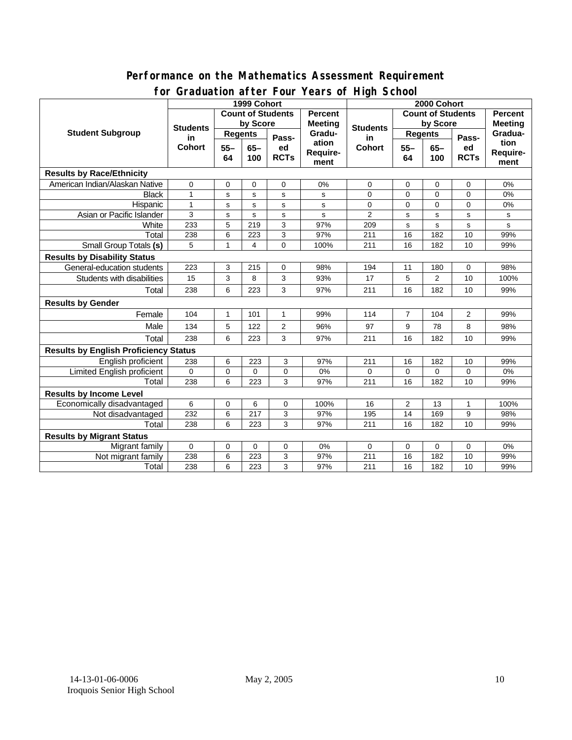### **Performance on the Mathematics Assessment Requirement for Graduation after Four Years of High School**

|                                              | ordduatholl artor roar roars o'r rhyn Sonool<br>1999 Cohort |                  |                                     |                |                          | 2000 Cohort              |                |             |                |          |  |
|----------------------------------------------|-------------------------------------------------------------|------------------|-------------------------------------|----------------|--------------------------|--------------------------|----------------|-------------|----------------|----------|--|
|                                              |                                                             |                  | <b>Count of Students</b><br>Percent |                |                          | <b>Count of Students</b> |                |             | <b>Percent</b> |          |  |
| <b>Student Subgroup</b>                      | <b>Students</b><br>in<br><b>Cohort</b>                      | by Score         |                                     |                | <b>Meeting</b><br>Gradu- | <b>Students</b><br>in    | by Score       |             | <b>Meeting</b> |          |  |
|                                              |                                                             | <b>Regents</b>   |                                     | <b>Regents</b> |                          |                          |                | Gradua-     |                |          |  |
|                                              |                                                             | $55 -$<br>$65 -$ | Pass-<br>ed                         | ation          | <b>Cohort</b>            | $55 -$                   | $65-$          | Pass-<br>ed | tion           |          |  |
|                                              |                                                             | 64               | 100                                 | <b>RCTs</b>    | Require-                 |                          | 64             | 100         | <b>RCTs</b>    | Require- |  |
|                                              |                                                             |                  |                                     |                | ment                     |                          |                |             |                | ment     |  |
| <b>Results by Race/Ethnicity</b>             |                                                             |                  |                                     |                |                          |                          |                |             |                |          |  |
| American Indian/Alaskan Native               | $\mathbf 0$                                                 | 0                | $\Omega$                            | $\Omega$       | 0%                       | 0                        | 0              | 0           | 0              | 0%       |  |
| <b>Black</b>                                 | 1                                                           | s                | s                                   | s              | s                        | 0                        | $\Omega$       | $\mathbf 0$ | 0              | 0%       |  |
| Hispanic                                     | 1                                                           | s                | s                                   | s              | s                        | 0                        | $\mathbf 0$    | $\mathbf 0$ | 0              | $0\%$    |  |
| Asian or Pacific Islander                    | 3                                                           | s                | s                                   | $\mathbf s$    | s                        | $\overline{2}$           | s              | $\mathbf s$ | s              | s        |  |
| White                                        | 233                                                         | 5                | 219                                 | 3              | 97%                      | 209                      | $\mathbf s$    | s           | s              | s        |  |
| Total                                        | 238                                                         | 6                | 223                                 | 3              | 97%                      | 211                      | 16             | 182         | 10             | 99%      |  |
| Small Group Totals (s)                       | 5                                                           | 1                | 4                                   | 0              | 100%                     | 211                      | 16             | 182         | 10             | 99%      |  |
| <b>Results by Disability Status</b>          |                                                             |                  |                                     |                |                          |                          |                |             |                |          |  |
| General-education students                   | 223                                                         | 3                | 215                                 | 0              | 98%                      | 194                      | 11             | 180         | 0              | 98%      |  |
| Students with disabilities                   | 15                                                          | 3                | 8                                   | 3              | 93%                      | 17                       | 5              | 2           | 10             | 100%     |  |
| Total                                        | 238                                                         | 6                | 223                                 | 3              | 97%                      | 211                      | 16             | 182         | 10             | 99%      |  |
| <b>Results by Gender</b>                     |                                                             |                  |                                     |                |                          |                          |                |             |                |          |  |
| Female                                       | 104                                                         | 1                | 101                                 | $\mathbf{1}$   | 99%                      | 114                      | $\overline{7}$ | 104         | $\overline{2}$ | 99%      |  |
| Male                                         | 134                                                         | 5                | 122                                 | $\overline{2}$ | 96%                      | 97                       | 9              | 78          | 8              | 98%      |  |
| Total                                        | 238                                                         | 6                | 223                                 | 3              | 97%                      | 211                      | 16             | 182         | 10             | 99%      |  |
| <b>Results by English Proficiency Status</b> |                                                             |                  |                                     |                |                          |                          |                |             |                |          |  |
| English proficient                           | 238                                                         | 6                | 223                                 | 3              | 97%                      | 211                      | 16             | 182         | 10             | 99%      |  |
| Limited English proficient                   | $\Omega$                                                    | $\mathbf 0$      | $\Omega$                            | 0              | 0%                       | $\overline{0}$           | $\Omega$       | $\Omega$    | 0              | 0%       |  |
| Total                                        | 238                                                         | 6                | 223                                 | 3              | 97%                      | 211                      | 16             | 182         | 10             | 99%      |  |
| <b>Results by Income Level</b>               |                                                             |                  |                                     |                |                          |                          |                |             |                |          |  |
| Economically disadvantaged                   | 6                                                           | $\mathbf 0$      | 6                                   | 0              | 100%                     | 16                       | $\overline{c}$ | 13          | 1              | 100%     |  |
| Not disadvantaged                            | 232                                                         | 6                | 217                                 | 3              | 97%                      | 195                      | 14             | 169         | 9              | 98%      |  |
| Total                                        | 238                                                         | 6                | 223                                 | 3              | 97%                      | 211                      | 16             | 182         | 10             | 99%      |  |
| <b>Results by Migrant Status</b>             |                                                             |                  |                                     |                |                          |                          |                |             |                |          |  |
| Migrant family                               | 0                                                           | 0                | 0                                   | 0              | 0%                       | 0                        | 0              | 0           | 0              | 0%       |  |
| Not migrant family                           | 238                                                         | 6                | 223                                 | 3              | 97%                      | 211                      | 16             | 182         | 10             | 99%      |  |
| Total                                        | 238                                                         | 6                | 223                                 | 3              | 97%                      | 211                      | 16             | 182         | 10             | 99%      |  |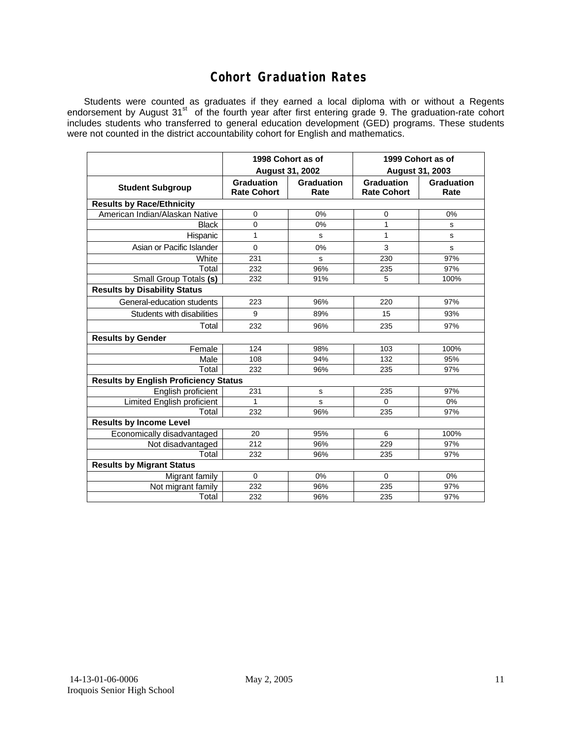### **Cohort Graduation Rates**

Students were counted as graduates if they earned a local diploma with or without a Regents endorsement by August 31<sup>st</sup> of the fourth year after first entering grade 9. The graduation-rate cohort includes students who transferred to general education development (GED) programs. These students were not counted in the district accountability cohort for English and mathematics.

|                                              | 1998 Cohort as of                |                    | 1999 Cohort as of                       |                    |  |  |  |  |  |
|----------------------------------------------|----------------------------------|--------------------|-----------------------------------------|--------------------|--|--|--|--|--|
|                                              | <b>August 31, 2002</b>           |                    | August 31, 2003                         |                    |  |  |  |  |  |
| <b>Student Subgroup</b>                      | Graduation<br><b>Rate Cohort</b> | Graduation<br>Rate | <b>Graduation</b><br><b>Rate Cohort</b> | Graduation<br>Rate |  |  |  |  |  |
| <b>Results by Race/Ethnicity</b>             |                                  |                    |                                         |                    |  |  |  |  |  |
| American Indian/Alaskan Native               | 0                                | 0%                 | 0                                       | 0%                 |  |  |  |  |  |
| <b>Black</b>                                 | $\overline{0}$                   | 0%                 | 1                                       | s                  |  |  |  |  |  |
| Hispanic                                     | 1                                | s                  | 1                                       | s                  |  |  |  |  |  |
| Asian or Pacific Islander                    | $\overline{0}$                   | 0%                 | 3                                       | s                  |  |  |  |  |  |
| White                                        | 231                              | s                  | 230                                     | 97%                |  |  |  |  |  |
| Total                                        | 232                              | 96%                | 235                                     | 97%                |  |  |  |  |  |
| Small Group Totals (s)                       | 232                              | 91%                | 5                                       | 100%               |  |  |  |  |  |
| <b>Results by Disability Status</b>          |                                  |                    |                                         |                    |  |  |  |  |  |
| General-education students                   | 223                              | 96%                | 220                                     | 97%                |  |  |  |  |  |
| Students with disabilities                   | 9                                | 89%                | 15                                      | 93%                |  |  |  |  |  |
| Total                                        | 232                              | 96%                | 235                                     | 97%                |  |  |  |  |  |
| <b>Results by Gender</b>                     |                                  |                    |                                         |                    |  |  |  |  |  |
| Female                                       | 124                              | 98%                | 103                                     | 100%               |  |  |  |  |  |
| Male                                         | 108                              | 94%                | 132                                     | 95%                |  |  |  |  |  |
| Total                                        | 232                              | 96%                | 235                                     | 97%                |  |  |  |  |  |
| <b>Results by English Proficiency Status</b> |                                  |                    |                                         |                    |  |  |  |  |  |
| English proficient                           | 231                              | $\mathbf s$        | 235                                     | 97%                |  |  |  |  |  |
| <b>Limited English proficient</b>            | 1                                | S                  | $\Omega$                                | 0%                 |  |  |  |  |  |
| Total                                        | 232                              | 96%                | 235                                     | 97%                |  |  |  |  |  |
| <b>Results by Income Level</b>               |                                  |                    |                                         |                    |  |  |  |  |  |
| Economically disadvantaged                   | 20                               | 95%                | 6                                       | 100%               |  |  |  |  |  |
| Not disadvantaged                            | 212                              | 96%                | 229                                     | 97%                |  |  |  |  |  |
| Total                                        | 232                              | 96%                | 235                                     | 97%                |  |  |  |  |  |
| <b>Results by Migrant Status</b>             |                                  |                    |                                         |                    |  |  |  |  |  |
| Migrant family                               | $\mathbf 0$                      | 0%                 | $\Omega$                                | 0%                 |  |  |  |  |  |
| Not migrant family                           | 232                              | 96%                | 235                                     | 97%                |  |  |  |  |  |
| Total                                        | 232                              | 96%                | 235                                     | 97%                |  |  |  |  |  |